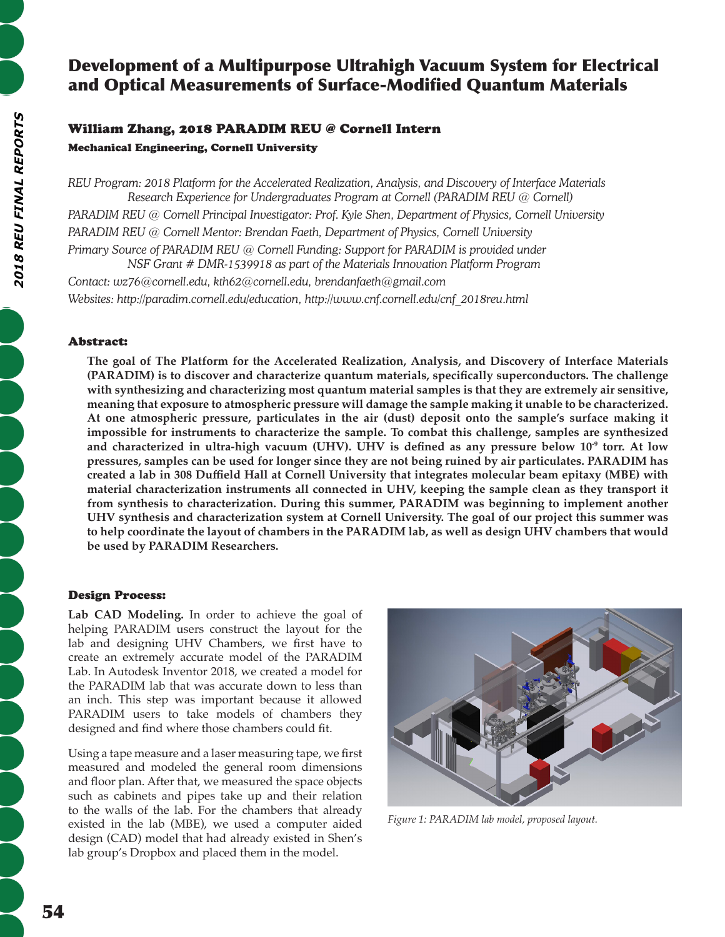# Development of a Multipurpose Ultrahigh Vacuum System for Electrical and Optical Measurements of Surface-Modified Quantum Materials

## William Zhang, 2018 PARADIM REU @ Cornell Intern

Mechanical Engineering, Cornell University

*REU Program: 2018 Platform for the Accelerated Realization, Analysis, and Discovery of Interface Materials Research Experience for Undergraduates Program at Cornell (PARADIM REU @ Cornell) PARADIM REU @ Cornell Principal Investigator: Prof. Kyle Shen, Department of Physics, Cornell University PARADIM REU @ Cornell Mentor: Brendan Faeth, Department of Physics, Cornell University Primary Source of PARADIM REU @ Cornell Funding: Support for PARADIM is provided under NSF Grant # DMR-1539918 as part of the Materials Innovation Platform Program*

*Contact: wz76@cornell.edu, kth62@cornell.edu, brendanfaeth@gmail.com Websites: http://paradim.cornell.edu/education, http://www.cnf.cornell.edu/cnf\_2018reu.html*

## Abstract:

**The goal of The Platform for the Accelerated Realization, Analysis, and Discovery of Interface Materials (PARADIM) is to discover and characterize quantum materials, specifically superconductors. The challenge with synthesizing and characterizing most quantum material samples is that they are extremely air sensitive, meaning that exposure to atmospheric pressure will damage the sample making it unable to be characterized. At one atmospheric pressure, particulates in the air (dust) deposit onto the sample's surface making it impossible for instruments to characterize the sample. To combat this challenge, samples are synthesized and characterized in ultra-high vacuum (UHV). UHV is defined as any pressure below 10-9 torr. At low pressures, samples can be used for longer since they are not being ruined by air particulates. PARADIM has created a lab in 308 Duffield Hall at Cornell University that integrates molecular beam epitaxy (MBE) with material characterization instruments all connected in UHV, keeping the sample clean as they transport it from synthesis to characterization. During this summer, PARADIM was beginning to implement another UHV synthesis and characterization system at Cornell University. The goal of our project this summer was to help coordinate the layout of chambers in the PARADIM lab, as well as design UHV chambers that would be used by PARADIM Researchers.**

## Design Process:

Lab CAD Modeling. In order to achieve the goal of helping PARADIM users construct the layout for the lab and designing UHV Chambers, we first have to create an extremely accurate model of the PARADIM Lab. In Autodesk Inventor 2018, we created a model for the PARADIM lab that was accurate down to less than an inch. This step was important because it allowed PARADIM users to take models of chambers they designed and find where those chambers could fit.

Using a tape measure and a laser measuring tape, we first measured and modeled the general room dimensions and floor plan. After that, we measured the space objects such as cabinets and pipes take up and their relation to the walls of the lab. For the chambers that already existed in the lab (MBE), we used a computer aided design (CAD) model that had already existed in Shen's lab group's Dropbox and placed them in the model.



*Figure 1: PARADIM lab model, proposed layout.*